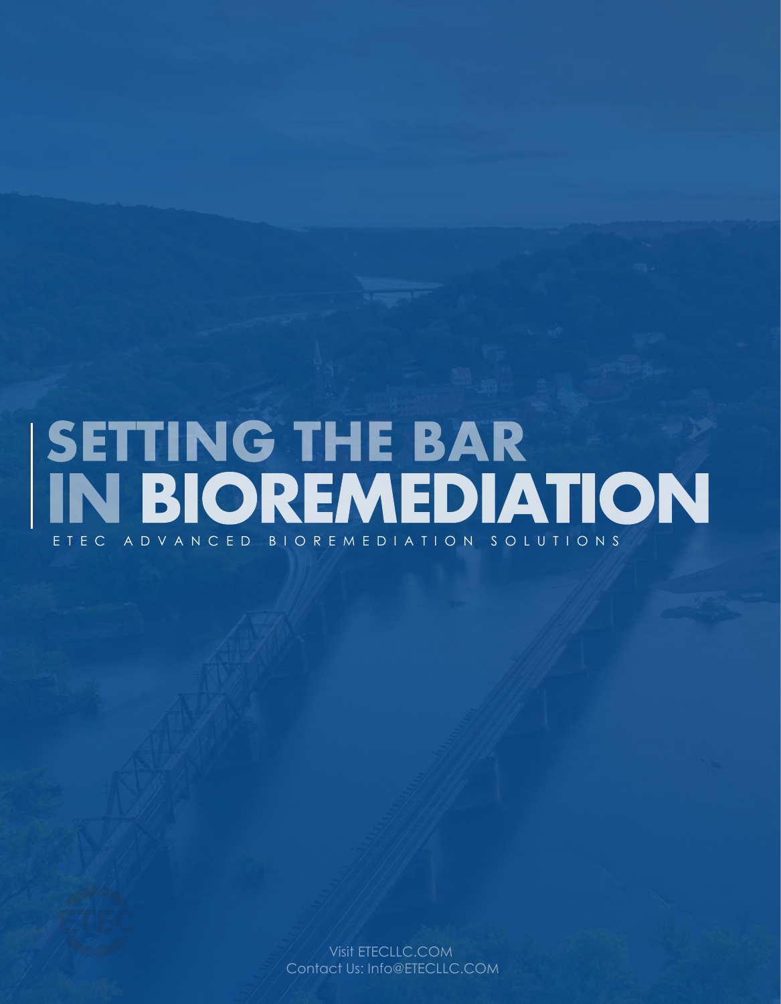# SETTING THE BAR<br>IN BIOREMEDIATION E T E C A D V A N C E D B I O R E M E D I A T I O N S O L U T I O N S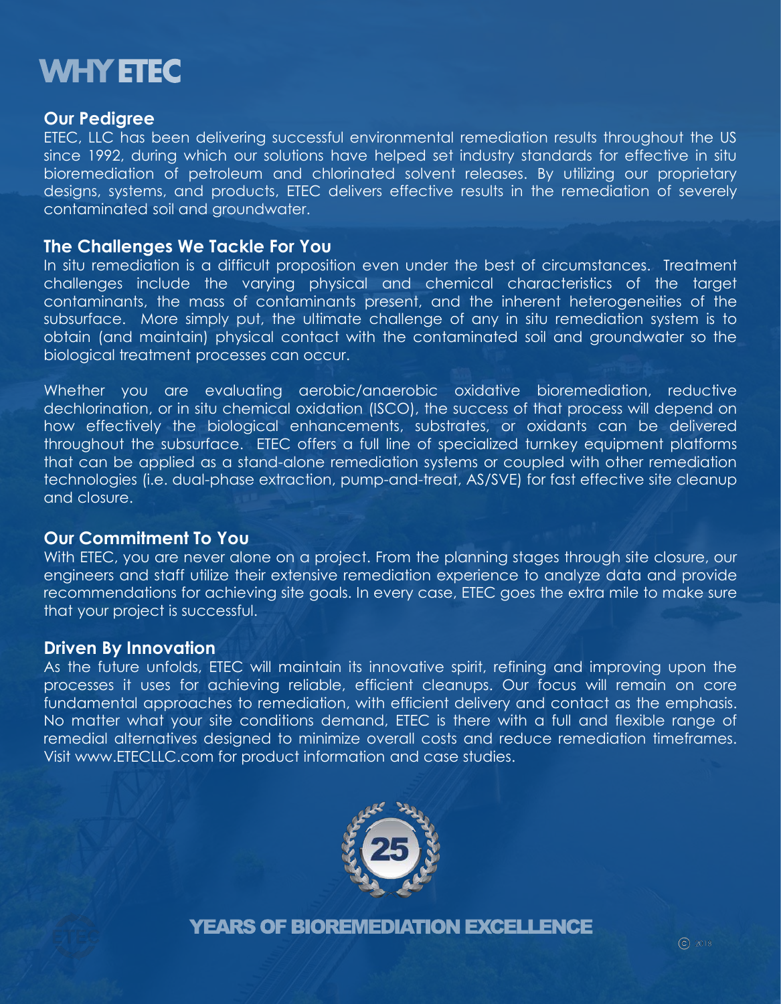## **WHY ETEC**

### **Our Pedigree**

ETEC, LLC has been delivering successful environmental remediation results throughout the US since 1992, during which our solutions have helped set industry standards for effective in situ bioremediation of petroleum and chlorinated solvent releases. By utilizing our proprietary designs, systems, and products, ETEC delivers effective results in the remediation of severely contaminated soil and groundwater.

### **The Challenges We Tackle For You**

In situ remediation is a difficult proposition even under the best of circumstances. Treatment challenges include the varying physical and chemical characteristics of the target contaminants, the mass of contaminants present, and the inherent heterogeneities of the subsurface. More simply put, the ultimate challenge of any in situ remediation system is to obtain (and maintain) physical contact with the contaminated soil and groundwater so the biological treatment processes can occur.

Whether you are evaluating aerobic/anaerobic oxidative bioremediation, reductive dechlorination, or in situ chemical oxidation (ISCO), the success of that process will depend on how effectively the biological enhancements, substrates, or oxidants can be delivered throughout the subsurface. ETEC offers a full line of specialized turnkey equipment platforms that can be applied as a stand-alone remediation systems or coupled with other remediation technologies (i.e. dual-phase extraction, pump-and-treat, AS/SVE) for fast effective site cleanup and closure.

### **Our Commitment To You**

With ETEC, you are never alone on a project. From the planning stages through site closure, our engineers and staff utilize their extensive remediation experience to analyze data and provide recommendations for achieving site goals. In every case, ETEC goes the extra mile to make sure that your project is successful.

### **Driven By Innovation**

As the future unfolds, ETEC will maintain its innovative spirit, refining and improving upon the processes it uses for achieving reliable, efficient cleanups. Our focus will remain on core fundamental approaches to remediation, with efficient delivery and contact as the emphasis. No matter what your site conditions demand, ETEC is there with a full and flexible range of remedial alternatives designed to minimize overall costs and reduce remediation timeframes. Visit www.ETECLLC.com for product information and case studies.



YEARS OF BIOREMEDIATION EXCELLENCE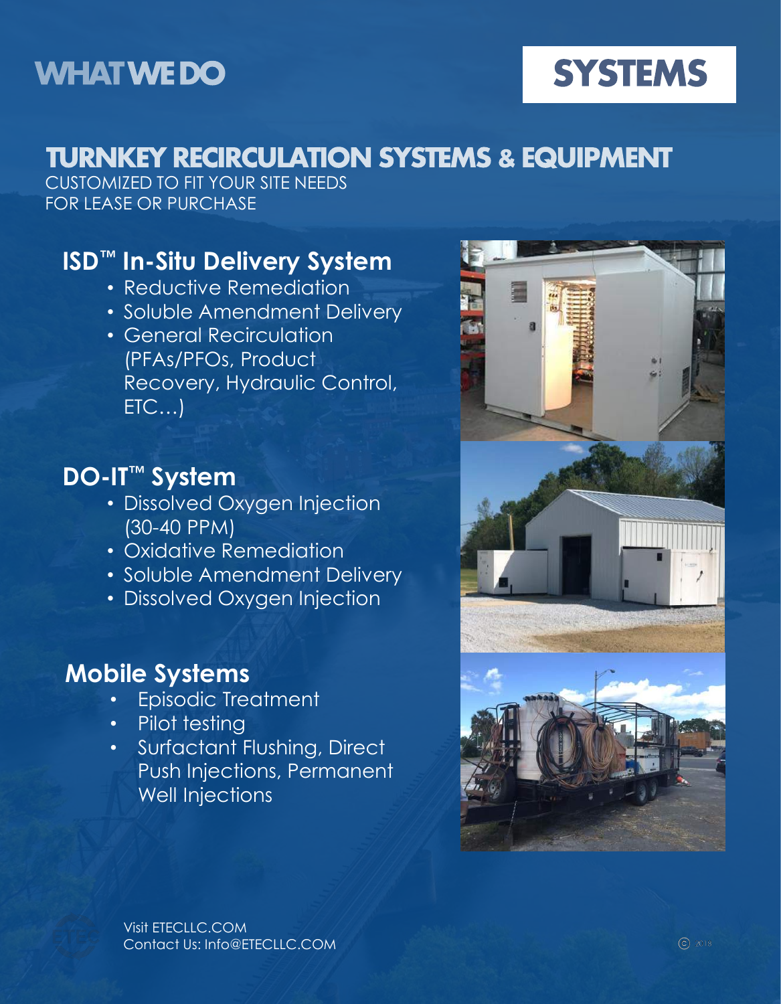## **WHAT WE DO**

## **SYSTEMS**

## **TURNKEY RECIRCULATION SYSTEMS & EQUIPMENT**

CUSTOMIZED TO FIT YOUR SITE NEEDS FOR LEASE OR PURCHASE

### **ISD™ In-Situ Delivery System**

- Reductive Remediation
- Soluble Amendment Delivery
- General Recirculation (PFAs/PFOs, Product Recovery, Hydraulic Control, ETC…)

## **DO-IT™ System**

- Dissolved Oxygen Injection (30-40 PPM)
- Oxidative Remediation
- Soluble Amendment Delivery
- Dissolved Oxygen Injection

### **Mobile Systems**

- Episodic Treatment
- Pilot testing
- Surfactant Flushing, Direct Push Injections, Permanent Well Injections

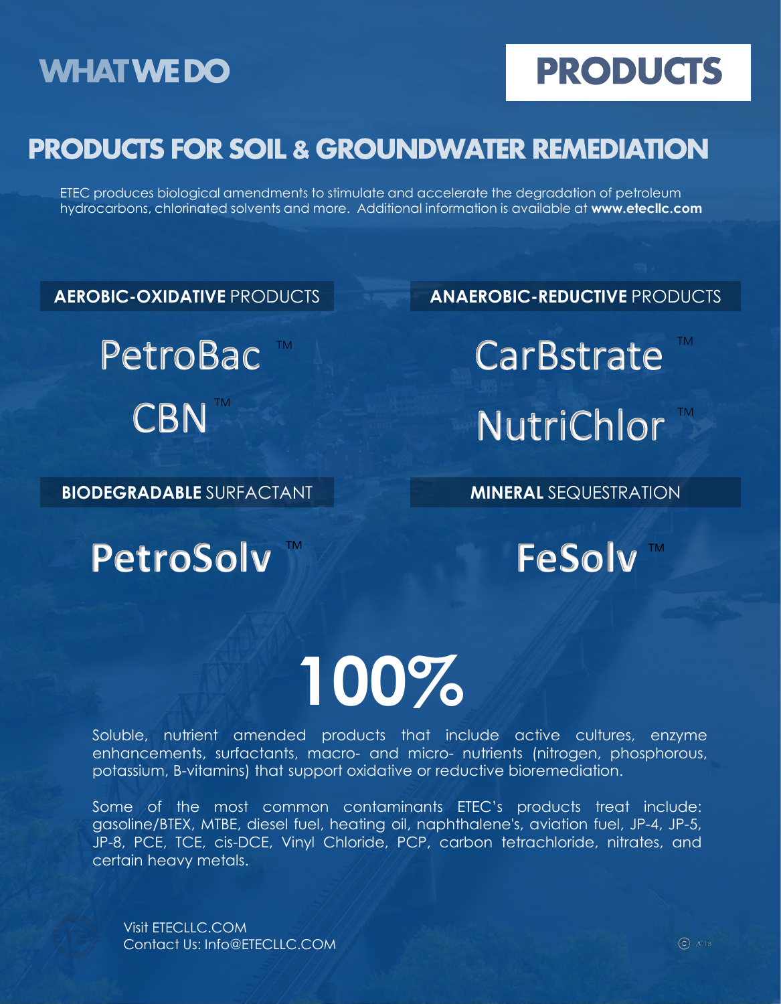## **WHATWEDO**

## **PRODUCTS**

## **PRODUCTS FOR SOIL & GROUNDWATER REMEDIATION**

ETEC produces biological amendments to stimulate and accelerate the degradation of petroleum hydrocarbons, chlorinated solvents and more. Additional information is available at **www.etecllc.com**

CBN

**AEROBIC-OXIDATIVE** PRODUCTS **ANAEROBIC-REDUCTIVE** PRODUCTS

PetroBac ™ CarBstrate NutriChlor

### **BIODEGRADABLE** SURFACTANT **MINERAL** SEQUESTRATION

**PetroSolv** ™ FeSolv ™

# **100%**

Soluble, nutrient amended products that include active cultures, enzyme enhancements, surfactants, macro- and micro- nutrients (nitrogen, phosphorous, potassium, B-vitamins) that support oxidative or reductive bioremediation.

Some of the most common contaminants ETEC's products treat include: gasoline/BTEX, MTBE, diesel fuel, heating oil, naphthalene's, aviation fuel, JP-4, JP-5, JP-8, PCE, TCE, cis-DCE, Vinyl Chloride, PCP, carbon tetrachloride, nitrates, and certain heavy metals.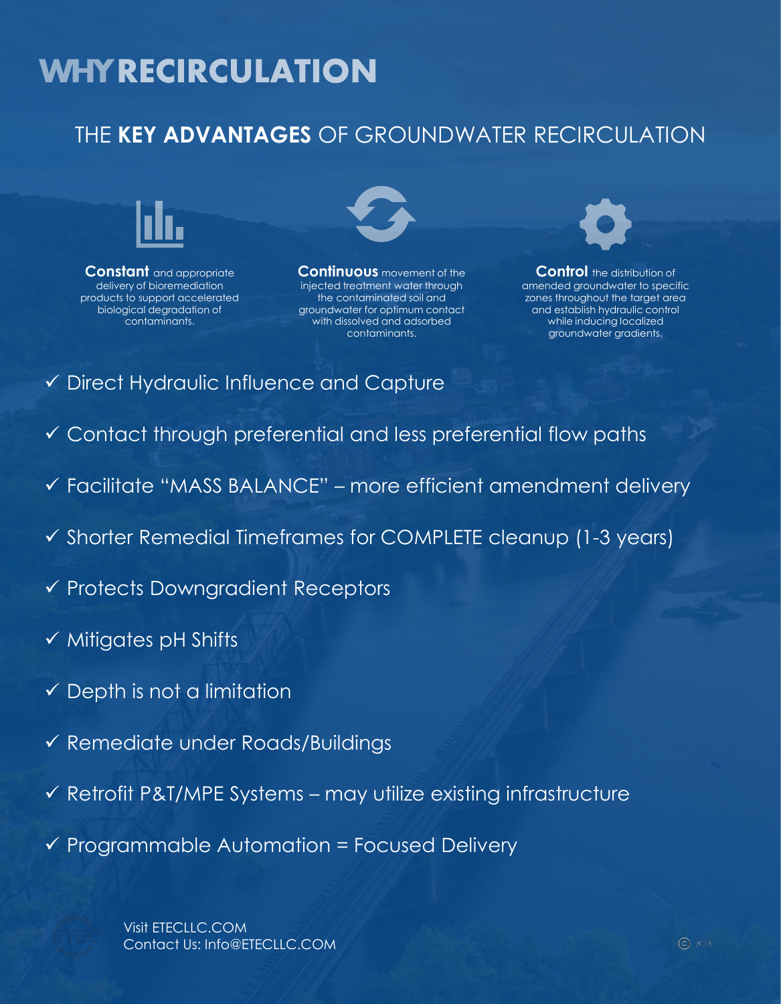## **WHY RECIRCULATION**

### THE **KEY ADVANTAGES** OF GROUNDWATER RECIRCULATION



**Constant** and appropriate delivery of bioremediation products to support accelerated biological degradation of contaminants.



**Continuous** movement of the injected treatment water through the contaminated soil and groundwater for optimum contact with dissolved and adsorbed contaminants.



**Control** the distribution of amended groundwater to specific zones throughout the target area and establish hydraulic control while inducing localized groundwater gradients.

- ✓ Direct Hydraulic Influence and Capture
- ✓ Contact through preferential and less preferential flow paths
- ✓ Facilitate "MASS BALANCE" more efficient amendment delivery
- ✓ Shorter Remedial Timeframes for COMPLETE cleanup (1-3 years)
- ✓ Protects Downgradient Receptors
- ✓ Mitigates pH Shifts
- $\checkmark$  Depth is not a limitation
- ✓ Remediate under Roads/Buildings
- $\checkmark$  Retrofit P&T/MPE Systems may utilize existing infrastructure
- $\checkmark$  Programmable Automation = Focused Delivery